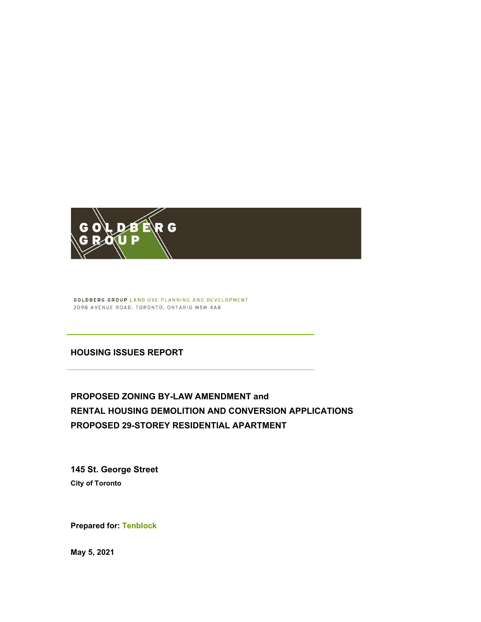

**GOLDBERG GROUP LAND USE PLANNING AND DEVELOPMENT** 2098 AVENUE ROAD, TORONTO, ONTARIO M5M 4A8

#### **HOUSING ISSUES REPORT**

# **PROPOSED ZONING BY-LAW AMENDMENT and RENTAL HOUSING DEMOLITION AND CONVERSION APPLICATIONS PROPOSED 29-STOREY RESIDENTIAL APARTMENT**

**145 St. George Street City of Toronto** 

**Prepared for: Tenblock** 

**May 5, 2021**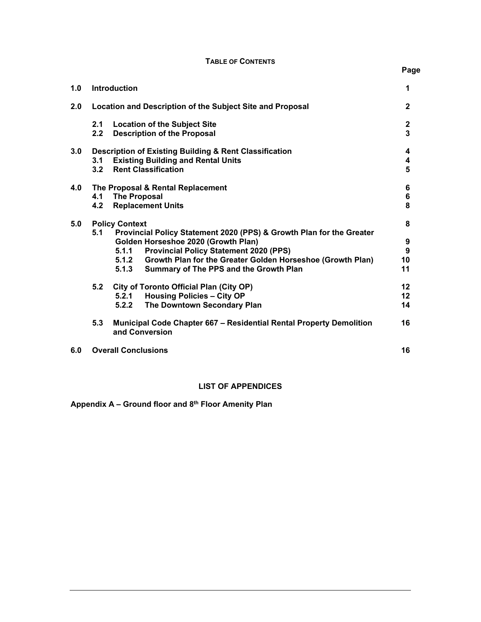#### **TABLE OF CONTENTS**

**Page** 

| 1.0 |                                                                                                    | <b>Introduction</b>     |                                                                                                                                                                                                                                                                      | 1                                  |  |
|-----|----------------------------------------------------------------------------------------------------|-------------------------|----------------------------------------------------------------------------------------------------------------------------------------------------------------------------------------------------------------------------------------------------------------------|------------------------------------|--|
| 2.0 | Location and Description of the Subject Site and Proposal                                          |                         |                                                                                                                                                                                                                                                                      |                                    |  |
|     | 2.1<br>2.2                                                                                         |                         | <b>Location of the Subject Site</b><br><b>Description of the Proposal</b>                                                                                                                                                                                            | $\boldsymbol{2}$<br>$\overline{3}$ |  |
| 3.0 | 3.1<br>3.2                                                                                         |                         | Description of Existing Building & Rent Classification<br><b>Existing Building and Rental Units</b><br><b>Rent Classification</b>                                                                                                                                    | 4<br>4<br>5                        |  |
| 4.0 | The Proposal & Rental Replacement<br><b>The Proposal</b><br>4.1<br><b>Replacement Units</b><br>4.2 |                         |                                                                                                                                                                                                                                                                      |                                    |  |
| 5.0 | <b>Policy Context</b>                                                                              |                         |                                                                                                                                                                                                                                                                      |                                    |  |
|     | 5.1                                                                                                | 5.1.1<br>5.1.2<br>5.1.3 | Provincial Policy Statement 2020 (PPS) & Growth Plan for the Greater<br>Golden Horseshoe 2020 (Growth Plan)<br><b>Provincial Policy Statement 2020 (PPS)</b><br>Growth Plan for the Greater Golden Horseshoe (Growth Plan)<br>Summary of The PPS and the Growth Plan | 9<br>9<br>10<br>11                 |  |
|     | 5.2                                                                                                | 5.2.1<br>5.2.2          | City of Toronto Official Plan (City OP)<br><b>Housing Policies - City OP</b><br>The Downtown Secondary Plan                                                                                                                                                          | $12 \,$<br>12<br>14                |  |
|     | 5.3<br>Municipal Code Chapter 667 – Residential Rental Property Demolition<br>and Conversion       |                         |                                                                                                                                                                                                                                                                      | 16                                 |  |
| 6.0 | <b>Overall Conclusions</b>                                                                         |                         |                                                                                                                                                                                                                                                                      |                                    |  |

### **LIST OF APPENDICES**

**Appendix A – Ground floor and 8th Floor Amenity Plan**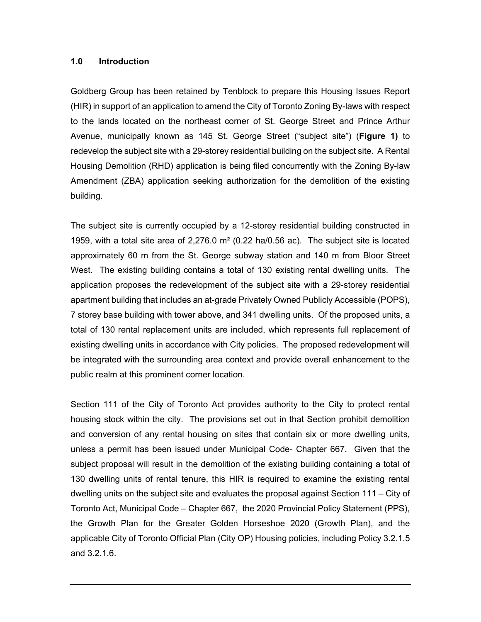#### **1.0 Introduction**

Goldberg Group has been retained by Tenblock to prepare this Housing Issues Report (HIR) in support of an application to amend the City of Toronto Zoning By-laws with respect to the lands located on the northeast corner of St. George Street and Prince Arthur Avenue, municipally known as 145 St. George Street ("subject site") (**Figure 1)** to redevelop the subject site with a 29-storey residential building on the subject site. A Rental Housing Demolition (RHD) application is being filed concurrently with the Zoning By-law Amendment (ZBA) application seeking authorization for the demolition of the existing building.

The subject site is currently occupied by a 12-storey residential building constructed in 1959, with a total site area of 2,276.0  $m<sup>2</sup>$  (0.22 ha/0.56 ac). The subject site is located approximately 60 m from the St. George subway station and 140 m from Bloor Street West. The existing building contains a total of 130 existing rental dwelling units. The application proposes the redevelopment of the subject site with a 29-storey residential apartment building that includes an at-grade Privately Owned Publicly Accessible (POPS), 7 storey base building with tower above, and 341 dwelling units. Of the proposed units, a total of 130 rental replacement units are included, which represents full replacement of existing dwelling units in accordance with City policies. The proposed redevelopment will be integrated with the surrounding area context and provide overall enhancement to the public realm at this prominent corner location.

Section 111 of the City of Toronto Act provides authority to the City to protect rental housing stock within the city. The provisions set out in that Section prohibit demolition and conversion of any rental housing on sites that contain six or more dwelling units, unless a permit has been issued under Municipal Code- Chapter 667. Given that the subject proposal will result in the demolition of the existing building containing a total of 130 dwelling units of rental tenure, this HIR is required to examine the existing rental dwelling units on the subject site and evaluates the proposal against Section 111 – City of Toronto Act, Municipal Code – Chapter 667, the 2020 Provincial Policy Statement (PPS), the Growth Plan for the Greater Golden Horseshoe 2020 (Growth Plan), and the applicable City of Toronto Official Plan (City OP) Housing policies, including Policy 3.2.1.5 and 3.2.1.6.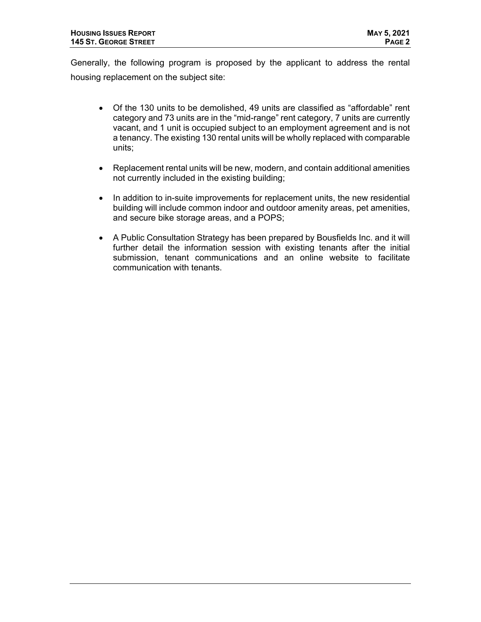Generally, the following program is proposed by the applicant to address the rental housing replacement on the subject site:

- Of the 130 units to be demolished, 49 units are classified as "affordable" rent category and 73 units are in the "mid-range" rent category, 7 units are currently vacant, and 1 unit is occupied subject to an employment agreement and is not a tenancy. The existing 130 rental units will be wholly replaced with comparable units;
- Replacement rental units will be new, modern, and contain additional amenities not currently included in the existing building;
- In addition to in-suite improvements for replacement units, the new residential building will include common indoor and outdoor amenity areas, pet amenities, and secure bike storage areas, and a POPS;
- A Public Consultation Strategy has been prepared by Bousfields Inc. and it will further detail the information session with existing tenants after the initial submission, tenant communications and an online website to facilitate communication with tenants.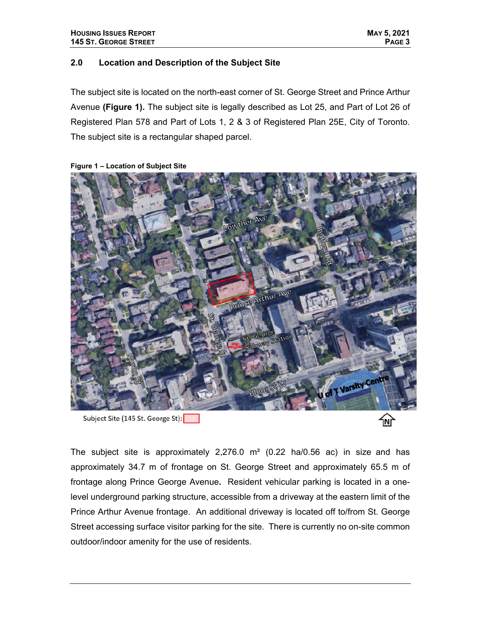#### **2.0 Location and Description of the Subject Site**

The subject site is located on the north-east corner of St. George Street and Prince Arthur Avenue **(Figure 1).** The subject site is legally described as Lot 25, and Part of Lot 26 of Registered Plan 578 and Part of Lots 1, 2 & 3 of Registered Plan 25E, City of Toronto. The subject site is a rectangular shaped parcel.



#### **Figure 1 – Location of Subject Site**

Subject Site (145 St. George St):

The subject site is approximately  $2,276.0$  m<sup>2</sup> (0.22 ha/0.56 ac) in size and has approximately 34.7 m of frontage on St. George Street and approximately 65.5 m of frontage along Prince George Avenue**.** Resident vehicular parking is located in a onelevel underground parking structure, accessible from a driveway at the eastern limit of the Prince Arthur Avenue frontage. An additional driveway is located off to/from St. George Street accessing surface visitor parking for the site. There is currently no on-site common outdoor/indoor amenity for the use of residents.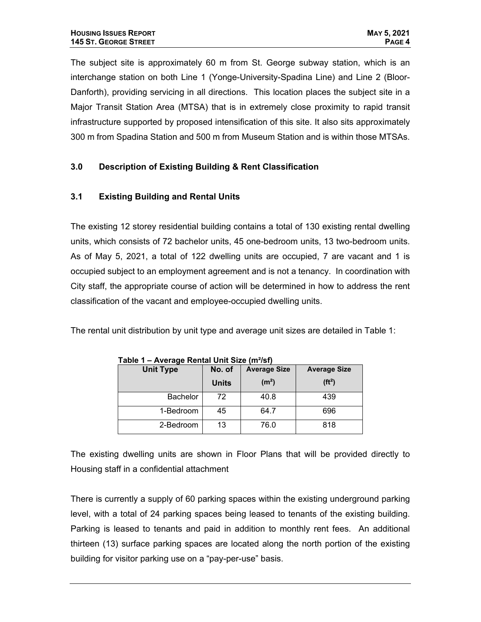The subject site is approximately 60 m from St. George subway station, which is an interchange station on both Line 1 (Yonge-University-Spadina Line) and Line 2 (Bloor-Danforth), providing servicing in all directions. This location places the subject site in a Major Transit Station Area (MTSA) that is in extremely close proximity to rapid transit infrastructure supported by proposed intensification of this site. It also sits approximately 300 m from Spadina Station and 500 m from Museum Station and is within those MTSAs.

## **3.0 Description of Existing Building & Rent Classification**

### **3.1 Existing Building and Rental Units**

The existing 12 storey residential building contains a total of 130 existing rental dwelling units, which consists of 72 bachelor units, 45 one-bedroom units, 13 two-bedroom units. As of May 5, 2021, a total of 122 dwelling units are occupied, 7 are vacant and 1 is occupied subject to an employment agreement and is not a tenancy. In coordination with City staff, the appropriate course of action will be determined in how to address the rent classification of the vacant and employee-occupied dwelling units.

The rental unit distribution by unit type and average unit sizes are detailed in Table 1:

| <b>Unit Type</b> | No. of       | <b>Average Size</b> | <b>Average Size</b> |
|------------------|--------------|---------------------|---------------------|
|                  | <b>Units</b> | (m <sup>2</sup> )   | (f t <sup>2</sup> ) |
| <b>Bachelor</b>  | 72           | 40.8                | 439                 |
| 1-Bedroom        | 45           | 64.7                | 696                 |
| 2-Bedroom        | 13           | 76.0                | 818                 |

**Table 1 – Average Rental Unit Size (m²/sf)** 

The existing dwelling units are shown in Floor Plans that will be provided directly to Housing staff in a confidential attachment

There is currently a supply of 60 parking spaces within the existing underground parking level, with a total of 24 parking spaces being leased to tenants of the existing building. Parking is leased to tenants and paid in addition to monthly rent fees. An additional thirteen (13) surface parking spaces are located along the north portion of the existing building for visitor parking use on a "pay-per-use" basis.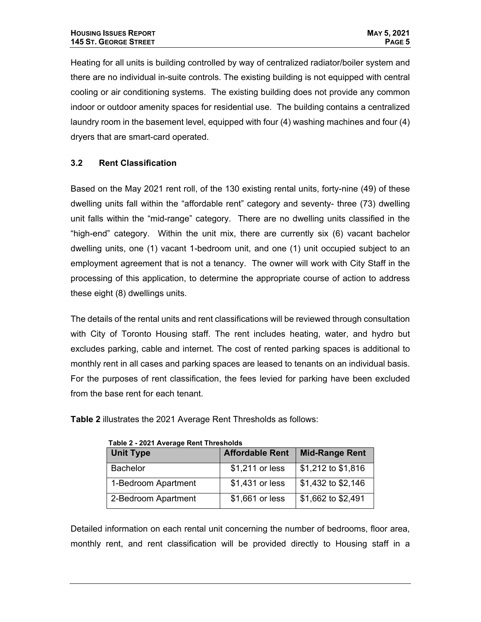Heating for all units is building controlled by way of centralized radiator/boiler system and there are no individual in-suite controls. The existing building is not equipped with central cooling or air conditioning systems. The existing building does not provide any common indoor or outdoor amenity spaces for residential use. The building contains a centralized laundry room in the basement level, equipped with four (4) washing machines and four (4) dryers that are smart-card operated.

### **3.2 Rent Classification**

Based on the May 2021 rent roll, of the 130 existing rental units, forty-nine (49) of these dwelling units fall within the "affordable rent" category and seventy- three (73) dwelling unit falls within the "mid-range" category.There are no dwelling units classified in the "high-end" category. Within the unit mix, there are currently six (6) vacant bachelor dwelling units, one (1) vacant 1-bedroom unit, and one (1) unit occupied subject to an employment agreement that is not a tenancy. The owner will work with City Staff in the processing of this application, to determine the appropriate course of action to address these eight (8) dwellings units.

The details of the rental units and rent classifications will be reviewed through consultation with City of Toronto Housing staff. The rent includes heating, water, and hydro but excludes parking, cable and internet. The cost of rented parking spaces is additional to monthly rent in all cases and parking spaces are leased to tenants on an individual basis. For the purposes of rent classification, the fees levied for parking have been excluded from the base rent for each tenant.

| Table 2 - 2021 Average Rent Thresholds |                        |                       |  |  |  |  |
|----------------------------------------|------------------------|-----------------------|--|--|--|--|
| <b>Unit Type</b>                       | <b>Affordable Rent</b> | <b>Mid-Range Rent</b> |  |  |  |  |
| <b>Bachelor</b>                        | \$1,211 or less        | \$1,212 to \$1,816    |  |  |  |  |
| 1-Bedroom Apartment                    | \$1,431 or less        | \$1,432 to \$2,146    |  |  |  |  |
| 2-Bedroom Apartment                    | \$1,661 or less        | \$1,662 to \$2,491    |  |  |  |  |

**Table 2** illustrates the 2021 Average Rent Thresholds as follows:

Detailed information on each rental unit concerning the number of bedrooms, floor area, monthly rent, and rent classification will be provided directly to Housing staff in a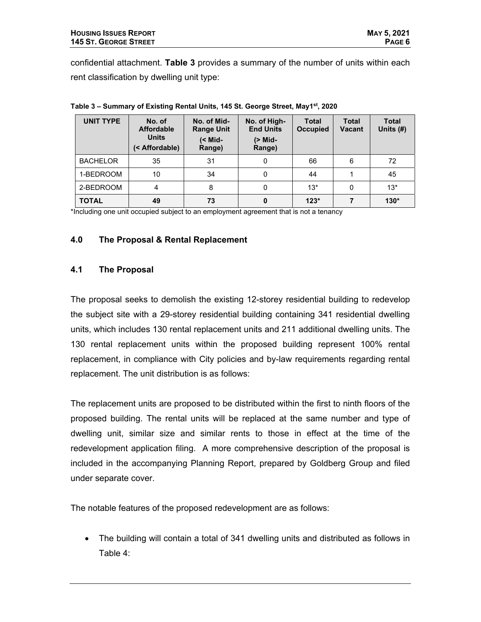confidential attachment. **Table 3** provides a summary of the number of units within each rent classification by dwelling unit type:

| <b>UNIT TYPE</b> | No. of<br><b>Affordable</b><br><b>Units</b><br>(< Affordable) | No. of Mid-<br><b>Range Unit</b><br>$(<$ Mid-<br>Range) | No. of High-<br><b>End Units</b><br>(> Mid-<br>Range) | <b>Total</b><br><b>Occupied</b> | <b>Total</b><br><b>Vacant</b> | <b>Total</b><br>Units $(H)$ |
|------------------|---------------------------------------------------------------|---------------------------------------------------------|-------------------------------------------------------|---------------------------------|-------------------------------|-----------------------------|
| <b>BACHELOR</b>  | 35                                                            | 31                                                      | 0                                                     | 66                              | 6                             | 72                          |
| 1-BEDROOM        | 10                                                            | 34                                                      | 0                                                     | 44                              |                               | 45                          |
| 2-BEDROOM        | 4                                                             | 8                                                       | 0                                                     | $13*$                           | 0                             | $13*$                       |
| <b>TOTAL</b>     | 49                                                            | 73                                                      | 0                                                     | $123*$                          |                               | $130*$                      |

**Table 3 – Summary of Existing Rental Units, 145 St. George Street, May1st, 2020** 

\*Including one unit occupied subject to an employment agreement that is not a tenancy

#### **4.0 The Proposal & Rental Replacement**

#### **4.1 The Proposal**

The proposal seeks to demolish the existing 12-storey residential building to redevelop the subject site with a 29-storey residential building containing 341 residential dwelling units, which includes 130 rental replacement units and 211 additional dwelling units. The 130 rental replacement units within the proposed building represent 100% rental replacement, in compliance with City policies and by-law requirements regarding rental replacement. The unit distribution is as follows:

The replacement units are proposed to be distributed within the first to ninth floors of the proposed building. The rental units will be replaced at the same number and type of dwelling unit, similar size and similar rents to those in effect at the time of the redevelopment application filing. A more comprehensive description of the proposal is included in the accompanying Planning Report, prepared by Goldberg Group and filed under separate cover.

The notable features of the proposed redevelopment are as follows:

 The building will contain a total of 341 dwelling units and distributed as follows in Table 4: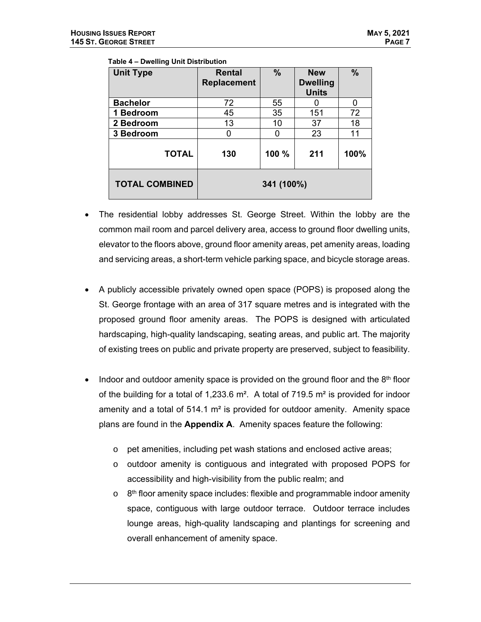| <b>Unit Type</b>      | Rental<br><b>Replacement</b> | $\frac{0}{0}$ | <b>New</b><br><b>Dwelling</b><br><b>Units</b> | $\frac{9}{6}$ |
|-----------------------|------------------------------|---------------|-----------------------------------------------|---------------|
| <b>Bachelor</b>       | 72                           | 55            |                                               | 0             |
| 1 Bedroom             | 45                           | 35            | 151                                           | 72            |
| 2 Bedroom             | 13                           | 10            | 37                                            | 18            |
| 3 Bedroom             | 0                            | ŋ             | 23                                            | 11            |
| <b>TOTAL</b>          | 130                          | 100 %         | 211                                           | 100%          |
| <b>TOTAL COMBINED</b> |                              | 341 (100%)    |                                               |               |

#### **Table 4 – Dwelling Unit Distribution**

- The residential lobby addresses St. George Street. Within the lobby are the common mail room and parcel delivery area, access to ground floor dwelling units, elevator to the floors above, ground floor amenity areas, pet amenity areas, loading and servicing areas, a short-term vehicle parking space, and bicycle storage areas.
- A publicly accessible privately owned open space (POPS) is proposed along the St. George frontage with an area of 317 square metres and is integrated with the proposed ground floor amenity areas. The POPS is designed with articulated hardscaping, high-quality landscaping, seating areas, and public art. The majority of existing trees on public and private property are preserved, subject to feasibility.
- Indoor and outdoor amenity space is provided on the ground floor and the  $8<sup>th</sup>$  floor of the building for a total of 1,233.6  $\text{m}^2$ . A total of 719.5  $\text{m}^2$  is provided for indoor amenity and a total of  $514.1 \text{ m}^2$  is provided for outdoor amenity. Amenity space plans are found in the **Appendix A**. Amenity spaces feature the following:
	- o pet amenities, including pet wash stations and enclosed active areas;
	- $\circ$  outdoor amenity is contiguous and integrated with proposed POPS for accessibility and high-visibility from the public realm; and
	- $\circ$  8<sup>th</sup> floor amenity space includes: flexible and programmable indoor amenity space, contiguous with large outdoor terrace. Outdoor terrace includes lounge areas, high-quality landscaping and plantings for screening and overall enhancement of amenity space.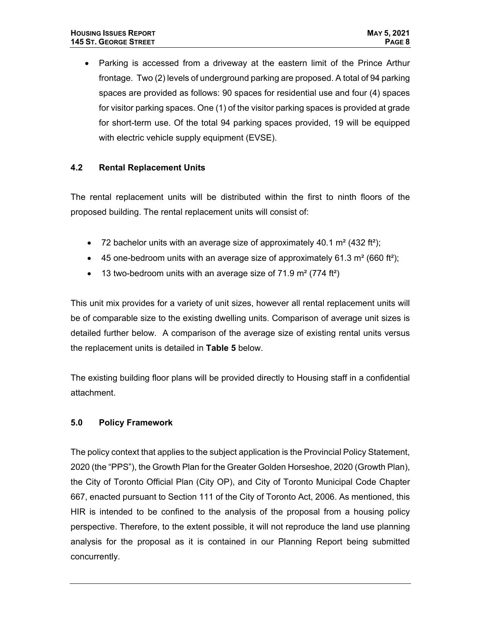Parking is accessed from a driveway at the eastern limit of the Prince Arthur frontage. Two (2) levels of underground parking are proposed. A total of 94 parking spaces are provided as follows: 90 spaces for residential use and four (4) spaces for visitor parking spaces. One (1) of the visitor parking spaces is provided at grade for short-term use. Of the total 94 parking spaces provided, 19 will be equipped with electric vehicle supply equipment (EVSE).

#### **4.2 Rental Replacement Units**

The rental replacement units will be distributed within the first to ninth floors of the proposed building. The rental replacement units will consist of:

- 72 bachelor units with an average size of approximately 40.1  $\text{m}^2$  (432 ft<sup>2</sup>);
- $\bullet$  45 one-bedroom units with an average size of approximately 61.3 m<sup>2</sup> (660 ft<sup>2</sup>);
- $\bullet$  13 two-bedroom units with an average size of 71.9 m<sup>2</sup> (774 ft<sup>2</sup>)

This unit mix provides for a variety of unit sizes, however all rental replacement units will be of comparable size to the existing dwelling units. Comparison of average unit sizes is detailed further below. A comparison of the average size of existing rental units versus the replacement units is detailed in **Table 5** below.

The existing building floor plans will be provided directly to Housing staff in a confidential attachment.

#### **5.0 Policy Framework**

The policy context that applies to the subject application is the Provincial Policy Statement, 2020 (the "PPS"), the Growth Plan for the Greater Golden Horseshoe, 2020 (Growth Plan), the City of Toronto Official Plan (City OP), and City of Toronto Municipal Code Chapter 667, enacted pursuant to Section 111 of the City of Toronto Act, 2006. As mentioned, this HIR is intended to be confined to the analysis of the proposal from a housing policy perspective. Therefore, to the extent possible, it will not reproduce the land use planning analysis for the proposal as it is contained in our Planning Report being submitted concurrently.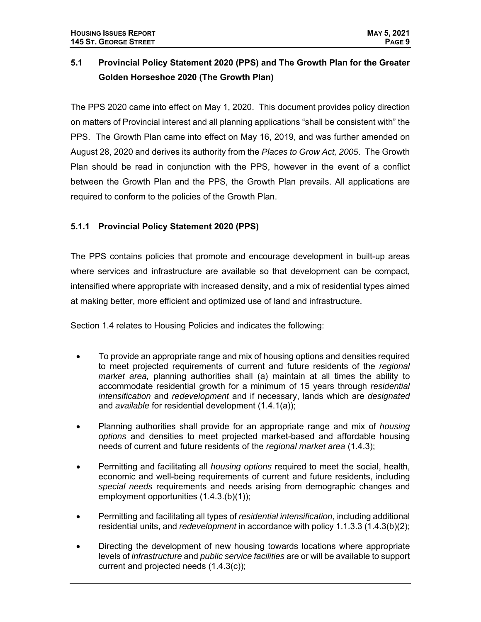# **5.1 Provincial Policy Statement 2020 (PPS) and The Growth Plan for the Greater Golden Horseshoe 2020 (The Growth Plan)**

The PPS 2020 came into effect on May 1, 2020. This document provides policy direction on matters of Provincial interest and all planning applications "shall be consistent with" the PPS. The Growth Plan came into effect on May 16, 2019, and was further amended on August 28, 2020 and derives its authority from the *Places to Grow Act, 2005*. The Growth Plan should be read in conjunction with the PPS, however in the event of a conflict between the Growth Plan and the PPS, the Growth Plan prevails. All applications are required to conform to the policies of the Growth Plan.

## **5.1.1 Provincial Policy Statement 2020 (PPS)**

The PPS contains policies that promote and encourage development in built-up areas where services and infrastructure are available so that development can be compact, intensified where appropriate with increased density, and a mix of residential types aimed at making better, more efficient and optimized use of land and infrastructure.

Section 1.4 relates to Housing Policies and indicates the following:

- To provide an appropriate range and mix of housing options and densities required to meet projected requirements of current and future residents of the *regional market area,* planning authorities shall (a) maintain at all times the ability to accommodate residential growth for a minimum of 15 years through *residential intensification* and *redevelopment* and if necessary, lands which are *designated*  and *available* for residential development (1.4.1(a));
- Planning authorities shall provide for an appropriate range and mix of *housing options* and densities to meet projected market-based and affordable housing needs of current and future residents of the *regional market area* (1.4.3);
- Permitting and facilitating all *housing options* required to meet the social, health, economic and well-being requirements of current and future residents, including *special needs* requirements and needs arising from demographic changes and employment opportunities (1.4.3.(b)(1));
- Permitting and facilitating all types of *residential intensification*, including additional residential units, and *redevelopment* in accordance with policy 1.1.3.3 (1.4.3(b)(2);
- Directing the development of new housing towards locations where appropriate levels of *infrastructure* and *public service facilities* are or will be available to support current and projected needs (1.4.3(c));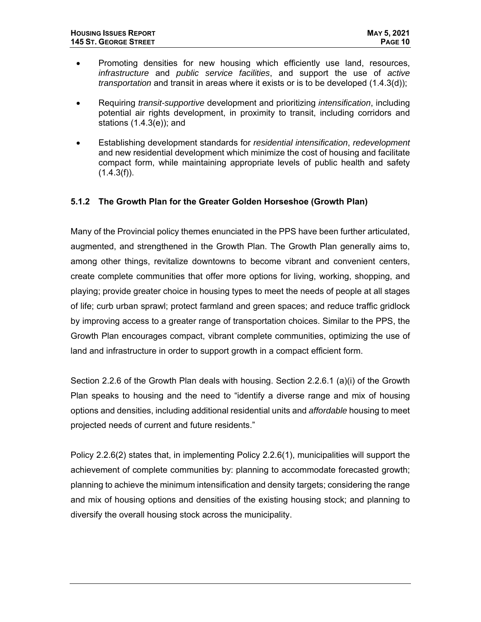- Promoting densities for new housing which efficiently use land, resources, *infrastructure* and *public service facilities*, and support the use of *active transportation* and transit in areas where it exists or is to be developed (1.4.3(d));
- Requiring *transit-supportive* development and prioritizing *intensification*, including potential air rights development, in proximity to transit, including corridors and stations (1.4.3(e)); and
- Establishing development standards for *residential intensification*, *redevelopment*  and new residential development which minimize the cost of housing and facilitate compact form, while maintaining appropriate levels of public health and safety  $(1.4.3(f)).$

#### **5.1.2 The Growth Plan for the Greater Golden Horseshoe (Growth Plan)**

Many of the Provincial policy themes enunciated in the PPS have been further articulated, augmented, and strengthened in the Growth Plan. The Growth Plan generally aims to, among other things, revitalize downtowns to become vibrant and convenient centers, create complete communities that offer more options for living, working, shopping, and playing; provide greater choice in housing types to meet the needs of people at all stages of life; curb urban sprawl; protect farmland and green spaces; and reduce traffic gridlock by improving access to a greater range of transportation choices. Similar to the PPS, the Growth Plan encourages compact, vibrant complete communities, optimizing the use of land and infrastructure in order to support growth in a compact efficient form.

Section 2.2.6 of the Growth Plan deals with housing. Section 2.2.6.1 (a)(i) of the Growth Plan speaks to housing and the need to "identify a diverse range and mix of housing options and densities, including additional residential units and *affordable* housing to meet projected needs of current and future residents."

Policy 2.2.6(2) states that, in implementing Policy 2.2.6(1), municipalities will support the achievement of complete communities by: planning to accommodate forecasted growth; planning to achieve the minimum intensification and density targets; considering the range and mix of housing options and densities of the existing housing stock; and planning to diversify the overall housing stock across the municipality.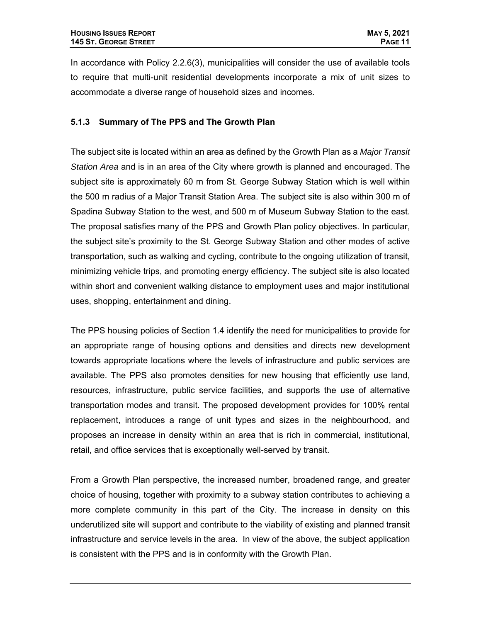In accordance with Policy 2.2.6(3), municipalities will consider the use of available tools to require that multi-unit residential developments incorporate a mix of unit sizes to accommodate a diverse range of household sizes and incomes.

#### **5.1.3 Summary of The PPS and The Growth Plan**

The subject site is located within an area as defined by the Growth Plan as a *Major Transit Station Area* and is in an area of the City where growth is planned and encouraged. The subject site is approximately 60 m from St. George Subway Station which is well within the 500 m radius of a Major Transit Station Area. The subject site is also within 300 m of Spadina Subway Station to the west, and 500 m of Museum Subway Station to the east. The proposal satisfies many of the PPS and Growth Plan policy objectives. In particular, the subject site's proximity to the St. George Subway Station and other modes of active transportation, such as walking and cycling, contribute to the ongoing utilization of transit, minimizing vehicle trips, and promoting energy efficiency. The subject site is also located within short and convenient walking distance to employment uses and major institutional uses, shopping, entertainment and dining.

The PPS housing policies of Section 1.4 identify the need for municipalities to provide for an appropriate range of housing options and densities and directs new development towards appropriate locations where the levels of infrastructure and public services are available. The PPS also promotes densities for new housing that efficiently use land, resources, infrastructure, public service facilities, and supports the use of alternative transportation modes and transit. The proposed development provides for 100% rental replacement, introduces a range of unit types and sizes in the neighbourhood, and proposes an increase in density within an area that is rich in commercial, institutional, retail, and office services that is exceptionally well-served by transit.

From a Growth Plan perspective, the increased number, broadened range, and greater choice of housing, together with proximity to a subway station contributes to achieving a more complete community in this part of the City. The increase in density on this underutilized site will support and contribute to the viability of existing and planned transit infrastructure and service levels in the area. In view of the above, the subject application is consistent with the PPS and is in conformity with the Growth Plan.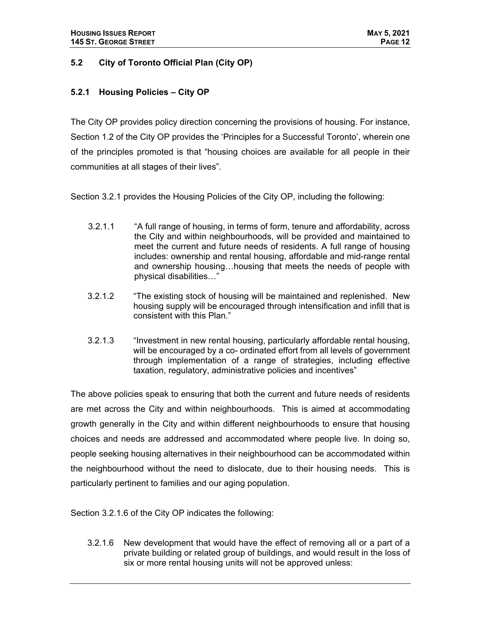#### **5.2 City of Toronto Official Plan (City OP)**

#### **5.2.1 Housing Policies – City OP**

The City OP provides policy direction concerning the provisions of housing. For instance, Section 1.2 of the City OP provides the 'Principles for a Successful Toronto', wherein one of the principles promoted is that "housing choices are available for all people in their communities at all stages of their lives".

Section 3.2.1 provides the Housing Policies of the City OP, including the following:

- 3.2.1.1 "A full range of housing, in terms of form, tenure and affordability, across the City and within neighbourhoods, will be provided and maintained to meet the current and future needs of residents. A full range of housing includes: ownership and rental housing, affordable and mid-range rental and ownership housing…housing that meets the needs of people with physical disabilities…"
- 3.2.1.2 "The existing stock of housing will be maintained and replenished. New housing supply will be encouraged through intensification and infill that is consistent with this Plan."
- 3.2.1.3 "Investment in new rental housing, particularly affordable rental housing, will be encouraged by a co- ordinated effort from all levels of government through implementation of a range of strategies, including effective taxation, regulatory, administrative policies and incentives"

The above policies speak to ensuring that both the current and future needs of residents are met across the City and within neighbourhoods. This is aimed at accommodating growth generally in the City and within different neighbourhoods to ensure that housing choices and needs are addressed and accommodated where people live. In doing so, people seeking housing alternatives in their neighbourhood can be accommodated within the neighbourhood without the need to dislocate, due to their housing needs. This is particularly pertinent to families and our aging population.

Section 3.2.1.6 of the City OP indicates the following:

3.2.1.6 New development that would have the effect of removing all or a part of a private building or related group of buildings, and would result in the loss of six or more rental housing units will not be approved unless: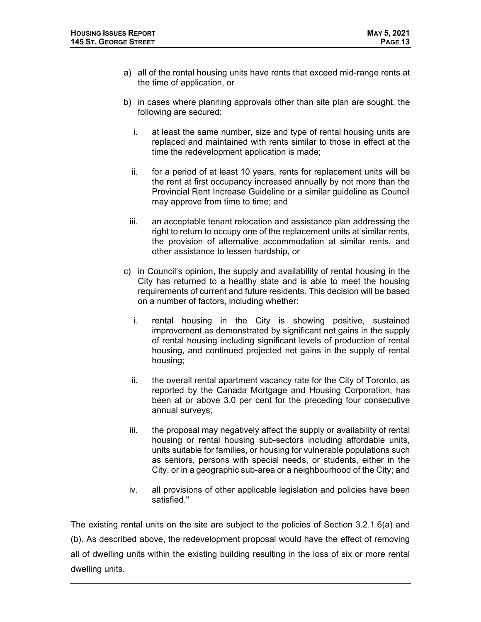- a) all of the rental housing units have rents that exceed mid-range rents at the time of application, or
- b) in cases where planning approvals other than site plan are sought, the following are secured:
	- i. at least the same number, size and type of rental housing units are replaced and maintained with rents similar to those in effect at the time the redevelopment application is made;
	- ii. for a period of at least 10 years, rents for replacement units will be the rent at first occupancy increased annually by not more than the Provincial Rent Increase Guideline or a similar guideline as Council may approve from time to time; and
	- iii. an acceptable tenant relocation and assistance plan addressing the right to return to occupy one of the replacement units at similar rents, the provision of alternative accommodation at similar rents, and other assistance to lessen hardship, or
- c) in Council's opinion, the supply and availability of rental housing in the City has returned to a healthy state and is able to meet the housing requirements of current and future residents. This decision will be based on a number of factors, including whether:
	- i. rental housing in the City is showing positive, sustained improvement as demonstrated by significant net gains in the supply of rental housing including significant levels of production of rental housing, and continued projected net gains in the supply of rental housing;
	- ii. the overall rental apartment vacancy rate for the City of Toronto, as reported by the Canada Mortgage and Housing Corporation, has been at or above 3.0 per cent for the preceding four consecutive annual surveys;
	- iii. the proposal may negatively affect the supply or availability of rental housing or rental housing sub-sectors including affordable units, units suitable for families, or housing for vulnerable populations such as seniors, persons with special needs, or students, either in the City, or in a geographic sub-area or a neighbourhood of the City; and
	- iv. all provisions of other applicable legislation and policies have been satisfied."

The existing rental units on the site are subject to the policies of Section 3.2.1.6(a) and (b). As described above, the redevelopment proposal would have the effect of removing all of dwelling units within the existing building resulting in the loss of six or more rental dwelling units.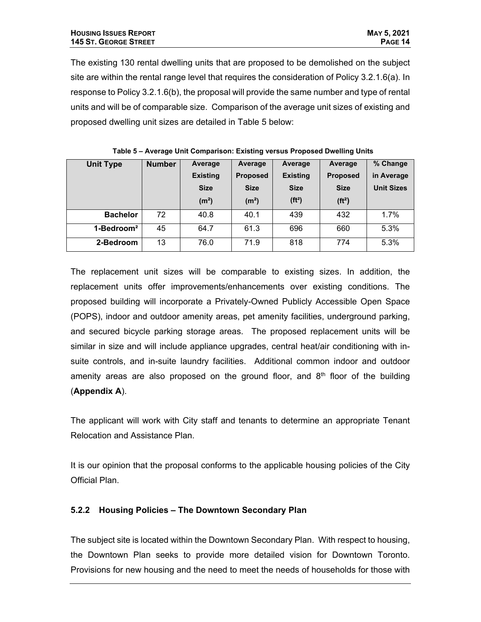The existing 130 rental dwelling units that are proposed to be demolished on the subject site are within the rental range level that requires the consideration of Policy 3.2.1.6(a). In response to Policy 3.2.1.6(b), the proposal will provide the same number and type of rental units and will be of comparable size. Comparison of the average unit sizes of existing and proposed dwelling unit sizes are detailed in Table 5 below:

| <b>Unit Type</b>       | <b>Number</b> | Average           | Average           | Average             | Average            | % Change          |
|------------------------|---------------|-------------------|-------------------|---------------------|--------------------|-------------------|
|                        |               | <b>Existing</b>   | <b>Proposed</b>   | <b>Existing</b>     | <b>Proposed</b>    | in Average        |
|                        |               | <b>Size</b>       | <b>Size</b>       | <b>Size</b>         | <b>Size</b>        | <b>Unit Sizes</b> |
|                        |               | (m <sup>2</sup> ) | (m <sup>2</sup> ) | (f t <sup>2</sup> ) | (ft <sup>2</sup> ) |                   |
| <b>Bachelor</b>        | 72            | 40.8              | 40.1              | 439                 | 432                | 1.7%              |
| $1 - \text{Bedroom}^2$ | 45            | 64.7              | 61.3              | 696                 | 660                | 5.3%              |
| 2-Bedroom              | 13            | 76.0              | 71.9              | 818                 | 774                | 5.3%              |

 **Table 5 – Average Unit Comparison: Existing versus Proposed Dwelling Units** 

The replacement unit sizes will be comparable to existing sizes. In addition, the replacement units offer improvements/enhancements over existing conditions. The proposed building will incorporate a Privately-Owned Publicly Accessible Open Space (POPS), indoor and outdoor amenity areas, pet amenity facilities, underground parking, and secured bicycle parking storage areas. The proposed replacement units will be similar in size and will include appliance upgrades, central heat/air conditioning with insuite controls, and in-suite laundry facilities. Additional common indoor and outdoor amenity areas are also proposed on the ground floor, and  $8<sup>th</sup>$  floor of the building (**Appendix A**).

The applicant will work with City staff and tenants to determine an appropriate Tenant Relocation and Assistance Plan.

It is our opinion that the proposal conforms to the applicable housing policies of the City Official Plan.

### **5.2.2 Housing Policies – The Downtown Secondary Plan**

The subject site is located within the Downtown Secondary Plan. With respect to housing, the Downtown Plan seeks to provide more detailed vision for Downtown Toronto. Provisions for new housing and the need to meet the needs of households for those with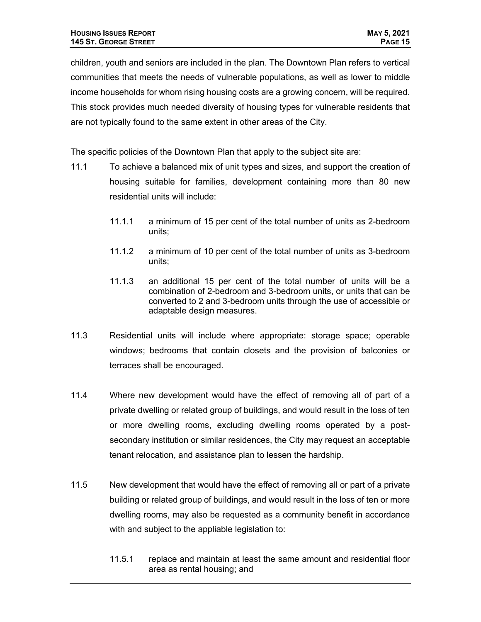children, youth and seniors are included in the plan. The Downtown Plan refers to vertical communities that meets the needs of vulnerable populations, as well as lower to middle income households for whom rising housing costs are a growing concern, will be required. This stock provides much needed diversity of housing types for vulnerable residents that are not typically found to the same extent in other areas of the City.

The specific policies of the Downtown Plan that apply to the subject site are:

- 11.1 To achieve a balanced mix of unit types and sizes, and support the creation of housing suitable for families, development containing more than 80 new residential units will include:
	- 11.1.1 a minimum of 15 per cent of the total number of units as 2-bedroom units;
	- 11.1.2 a minimum of 10 per cent of the total number of units as 3-bedroom units;
	- 11.1.3 an additional 15 per cent of the total number of units will be a combination of 2-bedroom and 3-bedroom units, or units that can be converted to 2 and 3-bedroom units through the use of accessible or adaptable design measures.
- 11.3 Residential units will include where appropriate: storage space; operable windows; bedrooms that contain closets and the provision of balconies or terraces shall be encouraged.
- 11.4 Where new development would have the effect of removing all of part of a private dwelling or related group of buildings, and would result in the loss of ten or more dwelling rooms, excluding dwelling rooms operated by a postsecondary institution or similar residences, the City may request an acceptable tenant relocation, and assistance plan to lessen the hardship.
- 11.5 New development that would have the effect of removing all or part of a private building or related group of buildings, and would result in the loss of ten or more dwelling rooms, may also be requested as a community benefit in accordance with and subject to the appliable legislation to:
	- 11.5.1 replace and maintain at least the same amount and residential floor area as rental housing; and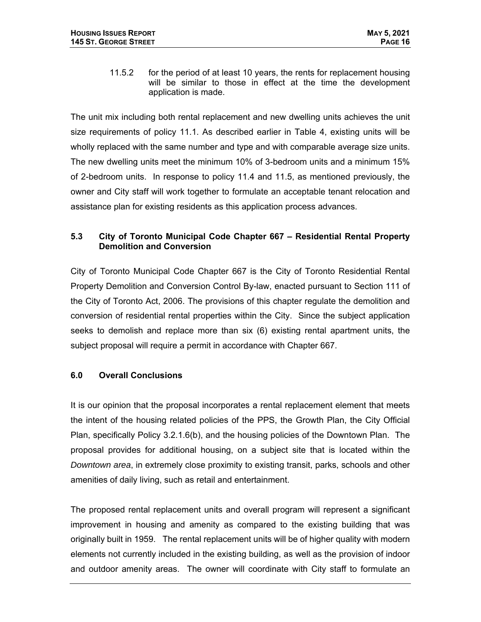11.5.2 for the period of at least 10 years, the rents for replacement housing will be similar to those in effect at the time the development application is made.

The unit mix including both rental replacement and new dwelling units achieves the unit size requirements of policy 11.1. As described earlier in Table 4, existing units will be wholly replaced with the same number and type and with comparable average size units. The new dwelling units meet the minimum 10% of 3-bedroom units and a minimum 15% of 2-bedroom units. In response to policy 11.4 and 11.5, as mentioned previously, the owner and City staff will work together to formulate an acceptable tenant relocation and assistance plan for existing residents as this application process advances.

#### **5.3 City of Toronto Municipal Code Chapter 667 – Residential Rental Property Demolition and Conversion**

City of Toronto Municipal Code Chapter 667 is the City of Toronto Residential Rental Property Demolition and Conversion Control By-law, enacted pursuant to Section 111 of the City of Toronto Act, 2006. The provisions of this chapter regulate the demolition and conversion of residential rental properties within the City. Since the subject application seeks to demolish and replace more than six (6) existing rental apartment units, the subject proposal will require a permit in accordance with Chapter 667.

### **6.0 Overall Conclusions**

It is our opinion that the proposal incorporates a rental replacement element that meets the intent of the housing related policies of the PPS, the Growth Plan, the City Official Plan, specifically Policy 3.2.1.6(b), and the housing policies of the Downtown Plan. The proposal provides for additional housing, on a subject site that is located within the *Downtown area*, in extremely close proximity to existing transit, parks, schools and other amenities of daily living, such as retail and entertainment.

The proposed rental replacement units and overall program will represent a significant improvement in housing and amenity as compared to the existing building that was originally built in 1959. The rental replacement units will be of higher quality with modern elements not currently included in the existing building, as well as the provision of indoor and outdoor amenity areas. The owner will coordinate with City staff to formulate an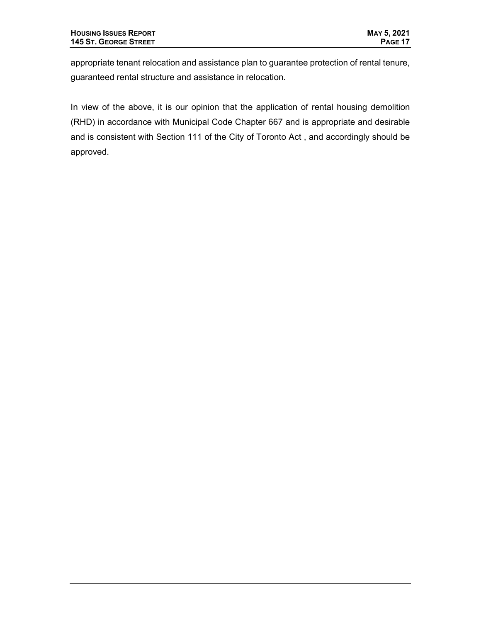appropriate tenant relocation and assistance plan to guarantee protection of rental tenure, guaranteed rental structure and assistance in relocation.

In view of the above, it is our opinion that the application of rental housing demolition (RHD) in accordance with Municipal Code Chapter 667 and is appropriate and desirable and is consistent with Section 111 of the City of Toronto Act , and accordingly should be approved.